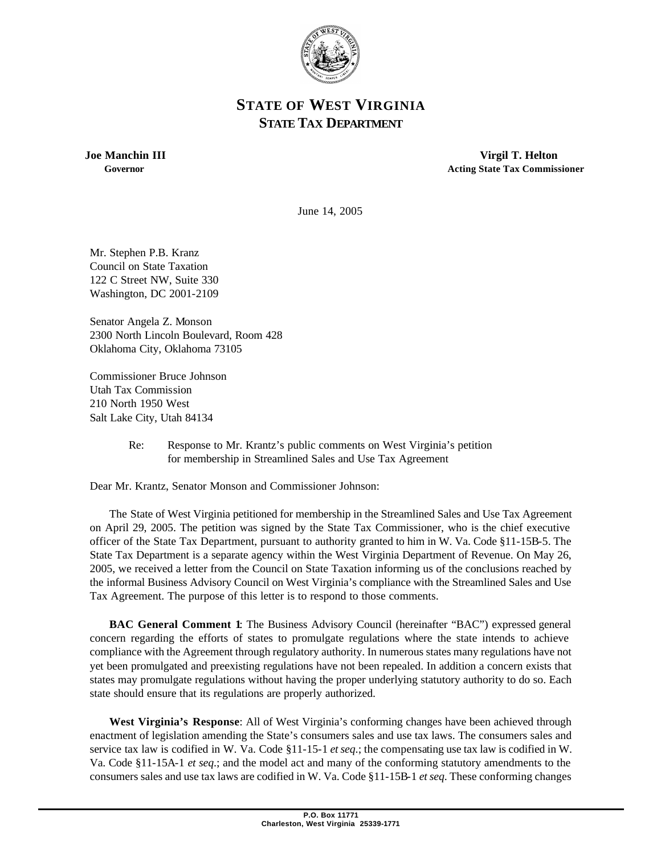

## **STATE OF WEST VIRGINIA STATE TAX DEPARTMENT**

 **Joe Manchin III Virgil T. Helton Governor Acting State Tax Commissioner**

June 14, 2005

Mr. Stephen P.B. Kranz Council on State Taxation 122 C Street NW, Suite 330 Washington, DC 2001-2109

Senator Angela Z. Monson 2300 North Lincoln Boulevard, Room 428 Oklahoma City, Oklahoma 73105

Commissioner Bruce Johnson Utah Tax Commission 210 North 1950 West Salt Lake City, Utah 84134

> Re: Response to Mr. Krantz's public comments on West Virginia's petition for membership in Streamlined Sales and Use Tax Agreement

Dear Mr. Krantz, Senator Monson and Commissioner Johnson:

The State of West Virginia petitioned for membership in the Streamlined Sales and Use Tax Agreement on April 29, 2005. The petition was signed by the State Tax Commissioner, who is the chief executive officer of the State Tax Department, pursuant to authority granted to him in W. Va. Code §11-15B-5. The State Tax Department is a separate agency within the West Virginia Department of Revenue. On May 26, 2005, we received a letter from the Council on State Taxation informing us of the conclusions reached by the informal Business Advisory Council on West Virginia's compliance with the Streamlined Sales and Use Tax Agreement. The purpose of this letter is to respond to those comments.

**BAC General Comment 1**: The Business Advisory Council (hereinafter "BAC") expressed general concern regarding the efforts of states to promulgate regulations where the state intends to achieve compliance with the Agreement through regulatory authority. In numerous states many regulations have not yet been promulgated and preexisting regulations have not been repealed. In addition a concern exists that states may promulgate regulations without having the proper underlying statutory authority to do so. Each state should ensure that its regulations are properly authorized.

**West Virginia's Response**: All of West Virginia's conforming changes have been achieved through enactment of legislation amending the State's consumers sales and use tax laws. The consumers sales and service tax law is codified in W. Va. Code §11-15-1 *et seq*.; the compensating use tax law is codified in W. Va. Code §11-15A-1 *et seq*.; and the model act and many of the conforming statutory amendments to the consumers sales and use tax laws are codified in W. Va. Code §11-15B-1 *et seq*. These conforming changes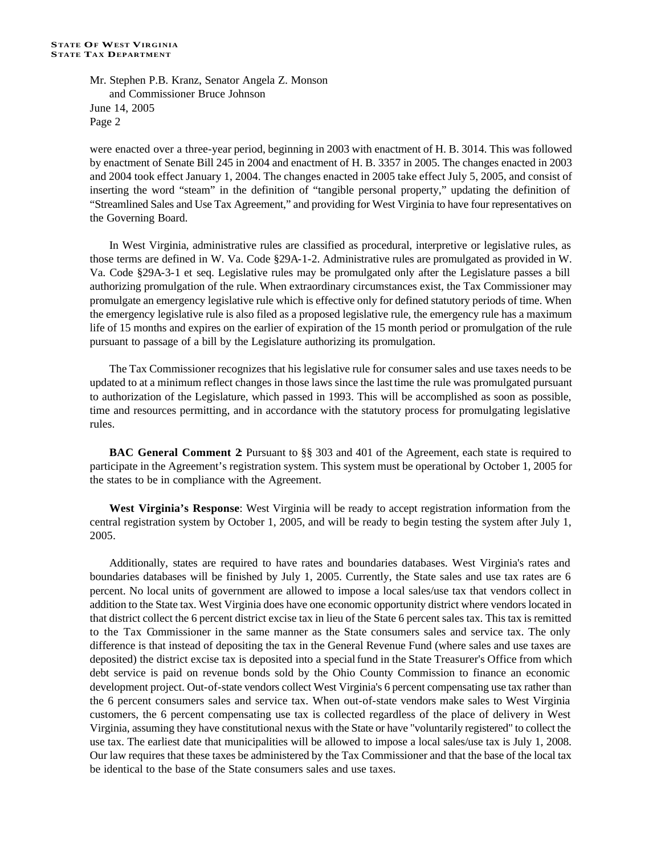Mr. Stephen P.B. Kranz, Senator Angela Z. Monson and Commissioner Bruce Johnson June 14, 2005 Page 2

were enacted over a three-year period, beginning in 2003 with enactment of H. B. 3014. This was followed by enactment of Senate Bill 245 in 2004 and enactment of H. B. 3357 in 2005. The changes enacted in 2003 and 2004 took effect January 1, 2004. The changes enacted in 2005 take effect July 5, 2005, and consist of inserting the word "steam" in the definition of "tangible personal property," updating the definition of "Streamlined Sales and Use Tax Agreement," and providing for West Virginia to have four representatives on the Governing Board.

In West Virginia, administrative rules are classified as procedural, interpretive or legislative rules, as those terms are defined in W. Va. Code §29A-1-2. Administrative rules are promulgated as provided in W. Va. Code §29A-3-1 et seq. Legislative rules may be promulgated only after the Legislature passes a bill authorizing promulgation of the rule. When extraordinary circumstances exist, the Tax Commissioner may promulgate an emergency legislative rule which is effective only for defined statutory periods of time. When the emergency legislative rule is also filed as a proposed legislative rule, the emergency rule has a maximum life of 15 months and expires on the earlier of expiration of the 15 month period or promulgation of the rule pursuant to passage of a bill by the Legislature authorizing its promulgation.

The Tax Commissioner recognizes that his legislative rule for consumer sales and use taxes needs to be updated to at a minimum reflect changes in those laws since the last time the rule was promulgated pursuant to authorization of the Legislature, which passed in 1993. This will be accomplished as soon as possible, time and resources permitting, and in accordance with the statutory process for promulgating legislative rules.

**BAC General Comment 2:** Pursuant to §§ 303 and 401 of the Agreement, each state is required to participate in the Agreement's registration system. This system must be operational by October 1, 2005 for the states to be in compliance with the Agreement.

**West Virginia's Response**: West Virginia will be ready to accept registration information from the central registration system by October 1, 2005, and will be ready to begin testing the system after July 1, 2005.

Additionally, states are required to have rates and boundaries databases. West Virginia's rates and boundaries databases will be finished by July 1, 2005. Currently, the State sales and use tax rates are 6 percent. No local units of government are allowed to impose a local sales/use tax that vendors collect in addition to the State tax. West Virginia does have one economic opportunity district where vendors located in that district collect the 6 percent district excise tax in lieu of the State 6 percent sales tax. This tax is remitted to the Tax Commissioner in the same manner as the State consumers sales and service tax. The only difference is that instead of depositing the tax in the General Revenue Fund (where sales and use taxes are deposited) the district excise tax is deposited into a special fund in the State Treasurer's Office from which debt service is paid on revenue bonds sold by the Ohio County Commission to finance an economic development project. Out-of-state vendors collect West Virginia's 6 percent compensating use tax rather than the 6 percent consumers sales and service tax. When out-of-state vendors make sales to West Virginia customers, the 6 percent compensating use tax is collected regardless of the place of delivery in West Virginia, assuming they have constitutional nexus with the State or have "voluntarily registered" to collect the use tax. The earliest date that municipalities will be allowed to impose a local sales/use tax is July 1, 2008. Our law requires that these taxes be administered by the Tax Commissioner and that the base of the local tax be identical to the base of the State consumers sales and use taxes.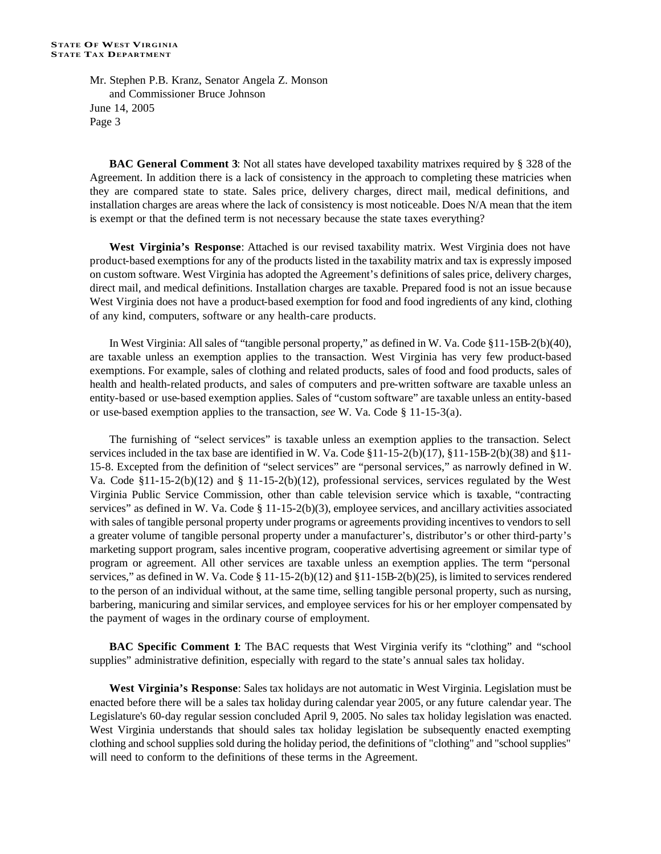Mr. Stephen P.B. Kranz, Senator Angela Z. Monson and Commissioner Bruce Johnson June 14, 2005 Page 3

**BAC General Comment 3**: Not all states have developed taxability matrixes required by § 328 of the Agreement. In addition there is a lack of consistency in the approach to completing these matricies when they are compared state to state. Sales price, delivery charges, direct mail, medical definitions, and installation charges are areas where the lack of consistency is most noticeable. Does N/A mean that the item is exempt or that the defined term is not necessary because the state taxes everything?

**West Virginia's Response**: Attached is our revised taxability matrix. West Virginia does not have product-based exemptions for any of the products listed in the taxability matrix and tax is expressly imposed on custom software. West Virginia has adopted the Agreement's definitions of sales price, delivery charges, direct mail, and medical definitions. Installation charges are taxable. Prepared food is not an issue because West Virginia does not have a product-based exemption for food and food ingredients of any kind, clothing of any kind, computers, software or any health-care products.

In West Virginia: All sales of "tangible personal property," as defined in W. Va. Code §11-15B-2(b)(40), are taxable unless an exemption applies to the transaction. West Virginia has very few product-based exemptions. For example, sales of clothing and related products, sales of food and food products, sales of health and health-related products, and sales of computers and pre-written software are taxable unless an entity-based or use-based exemption applies. Sales of "custom software" are taxable unless an entity-based or use-based exemption applies to the transaction, *see* W. Va. Code § 11-15-3(a).

The furnishing of "select services" is taxable unless an exemption applies to the transaction. Select services included in the tax base are identified in W. Va. Code §11-15-2(b)(17), §11-15B-2(b)(38) and §11- 15-8. Excepted from the definition of "select services" are "personal services," as narrowly defined in W. Va. Code  $\S11-15-2(b)(12)$  and  $\S11-15-2(b)(12)$ , professional services, services regulated by the West Virginia Public Service Commission, other than cable television service which is taxable, "contracting services" as defined in W. Va. Code  $\S$  11-15-2(b)(3), employee services, and ancillary activities associated with sales of tangible personal property under programs or agreements providing incentives to vendors to sell a greater volume of tangible personal property under a manufacturer's, distributor's or other third-party's marketing support program, sales incentive program, cooperative advertising agreement or similar type of program or agreement. All other services are taxable unless an exemption applies. The term "personal services," as defined in W. Va. Code § 11-15-2(b)(12) and §11-15B-2(b)(25), is limited to services rendered to the person of an individual without, at the same time, selling tangible personal property, such as nursing, barbering, manicuring and similar services, and employee services for his or her employer compensated by the payment of wages in the ordinary course of employment.

**BAC Specific Comment 1**: The BAC requests that West Virginia verify its "clothing" and "school supplies" administrative definition, especially with regard to the state's annual sales tax holiday.

**West Virginia's Response**: Sales tax holidays are not automatic in West Virginia. Legislation must be enacted before there will be a sales tax holiday during calendar year 2005, or any future calendar year. The Legislature's 60-day regular session concluded April 9, 2005. No sales tax holiday legislation was enacted. West Virginia understands that should sales tax holiday legislation be subsequently enacted exempting clothing and school supplies sold during the holiday period, the definitions of "clothing" and "school supplies" will need to conform to the definitions of these terms in the Agreement.